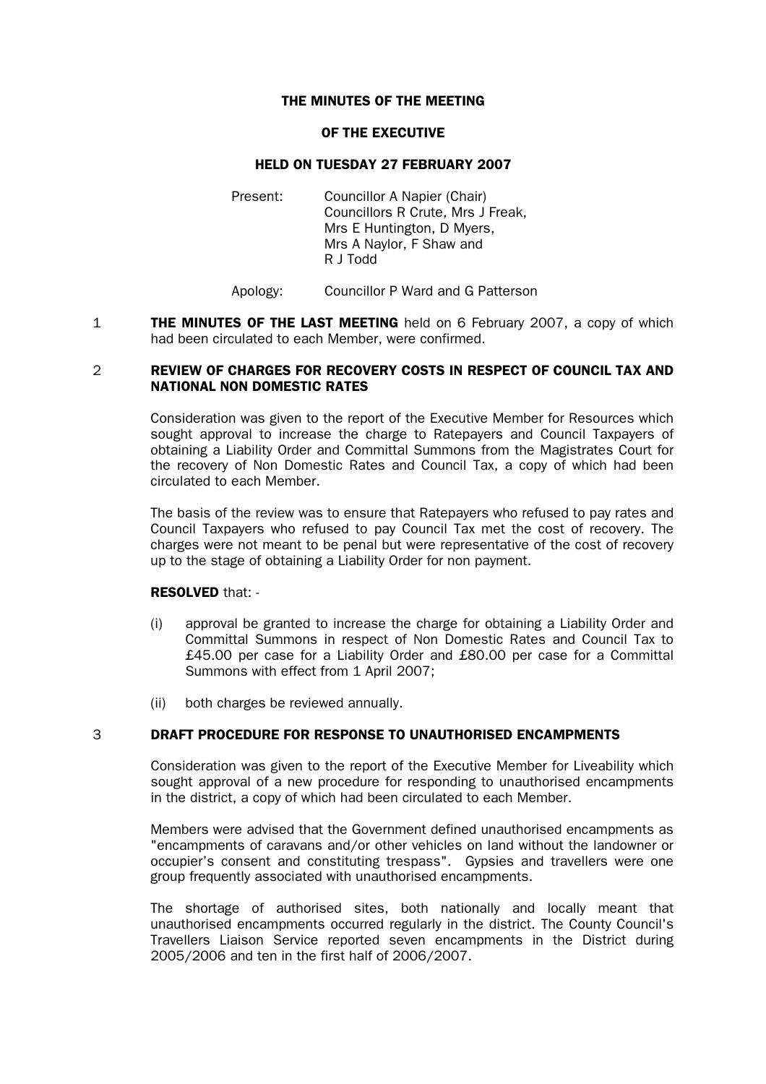### THE MINUTES OF THE MEETING

#### OF THE EXECUTIVE

### HELD ON TUESDAY 27 FEBRUARY 2007

Present: Councillor A Napier (Chair) Councillors R Crute, Mrs J Freak, Mrs E Huntington, D Myers, Mrs A Naylor, F Shaw and R J Todd

Apology: Councillor P Ward and G Patterson

**1 THE MINUTES OF THE LAST MEETING** held on 6 February 2007, a copy of which had been circulated to each Member, were confirmed.

## 2 REVIEW OF CHARGES FOR RECOVERY COSTS IN RESPECT OF COUNCIL TAX AND NATIONAL NON DOMESTIC RATES

Consideration was given to the report of the Executive Member for Resources which sought approval to increase the charge to Ratepayers and Council Taxpayers of obtaining a Liability Order and Committal Summons from the Magistrates Court for the recovery of Non Domestic Rates and Council Tax, a copy of which had been circulated to each Member.

The basis of the review was to ensure that Ratepayers who refused to pay rates and Council Taxpayers who refused to pay Council Tax met the cost of recovery. The charges were not meant to be penal but were representative of the cost of recovery up to the stage of obtaining a Liability Order for non payment.

## RESOLVED that: -

- (i) approval be granted to increase the charge for obtaining a Liability Order and Committal Summons in respect of Non Domestic Rates and Council Tax to £45.00 per case for a Liability Order and £80.00 per case for a Committal Summons with effect from 1 April 2007;
- (ii) both charges be reviewed annually.

## 3 DRAFT PROCEDURE FOR RESPONSE TO UNAUTHORISED ENCAMPMENTS

 Consideration was given to the report of the Executive Member for Liveability which sought approval of a new procedure for responding to unauthorised encampments in the district, a copy of which had been circulated to each Member.

 Members were advised that the Government defined unauthorised encampments as "encampments of caravans and/or other vehicles on land without the landowner or occupier's consent and constituting trespass". Gypsies and travellers were one group frequently associated with unauthorised encampments.

 The shortage of authorised sites, both nationally and locally meant that unauthorised encampments occurred regularly in the district. The County Council's Travellers Liaison Service reported seven encampments in the District during 2005/2006 and ten in the first half of 2006/2007.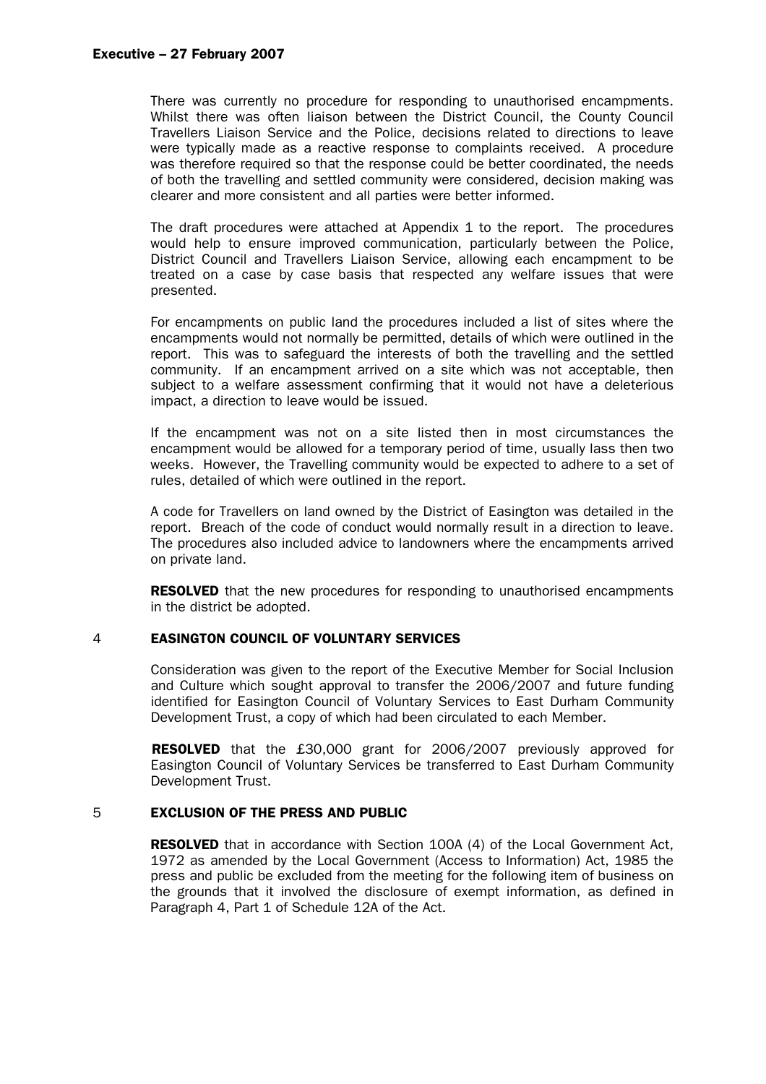### Executive – 27 February 2007

 There was currently no procedure for responding to unauthorised encampments. Whilst there was often liaison between the District Council, the County Council Travellers Liaison Service and the Police, decisions related to directions to leave were typically made as a reactive response to complaints received. A procedure was therefore required so that the response could be better coordinated, the needs of both the travelling and settled community were considered, decision making was clearer and more consistent and all parties were better informed.

 The draft procedures were attached at Appendix 1 to the report. The procedures would help to ensure improved communication, particularly between the Police, District Council and Travellers Liaison Service, allowing each encampment to be treated on a case by case basis that respected any welfare issues that were presented.

 For encampments on public land the procedures included a list of sites where the encampments would not normally be permitted, details of which were outlined in the report. This was to safeguard the interests of both the travelling and the settled community. If an encampment arrived on a site which was not acceptable, then subject to a welfare assessment confirming that it would not have a deleterious impact, a direction to leave would be issued.

 If the encampment was not on a site listed then in most circumstances the encampment would be allowed for a temporary period of time, usually lass then two weeks. However, the Travelling community would be expected to adhere to a set of rules, detailed of which were outlined in the report.

 A code for Travellers on land owned by the District of Easington was detailed in the report. Breach of the code of conduct would normally result in a direction to leave. The procedures also included advice to landowners where the encampments arrived on private land.

**RESOLVED** that the new procedures for responding to unauthorised encampments in the district be adopted.

## 4 EASINGTON COUNCIL OF VOLUNTARY SERVICES

 Consideration was given to the report of the Executive Member for Social Inclusion and Culture which sought approval to transfer the 2006/2007 and future funding identified for Easington Council of Voluntary Services to East Durham Community Development Trust, a copy of which had been circulated to each Member.

 RESOLVED that the £30,000 grant for 2006/2007 previously approved for Easington Council of Voluntary Services be transferred to East Durham Community Development Trust.

#### 5 EXCLUSION OF THE PRESS AND PUBLIC

**RESOLVED** that in accordance with Section 100A (4) of the Local Government Act, 1972 as amended by the Local Government (Access to Information) Act, 1985 the press and public be excluded from the meeting for the following item of business on the grounds that it involved the disclosure of exempt information, as defined in Paragraph 4, Part 1 of Schedule 12A of the Act.